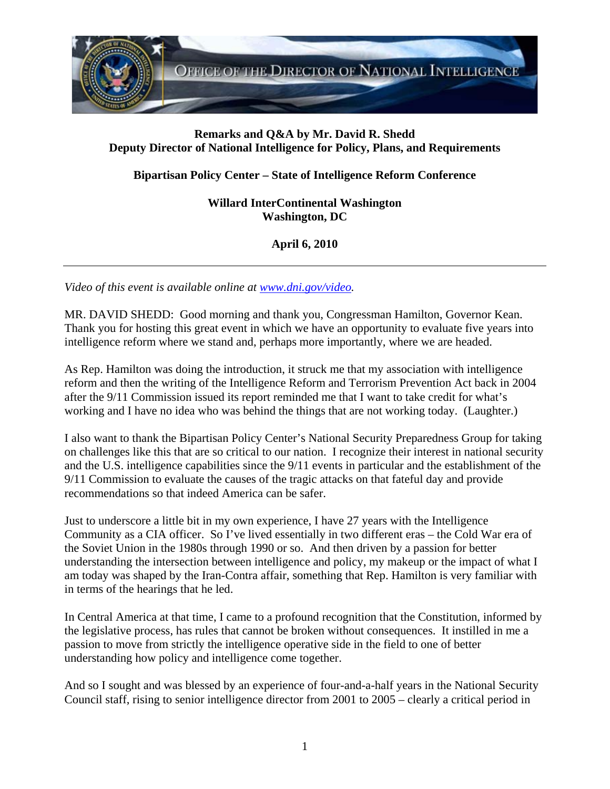

## **Remarks and Q&A by Mr. David R. Shedd Deputy Director of National Intelligence for Policy, Plans, and Requirements**

## **Bipartisan Policy Center – State of Intelligence Reform Conference**

**Willard InterContinental Washington Washington, DC** 

**April 6, 2010** 

*Video of this event is available online at www.dni.gov/video.* 

MR. DAVID SHEDD: Good morning and thank you, Congressman Hamilton, Governor Kean. Thank you for hosting this great event in which we have an opportunity to evaluate five years into intelligence reform where we stand and, perhaps more importantly, where we are headed.

As Rep. Hamilton was doing the introduction, it struck me that my association with intelligence reform and then the writing of the Intelligence Reform and Terrorism Prevention Act back in 2004 after the 9/11 Commission issued its report reminded me that I want to take credit for what's working and I have no idea who was behind the things that are not working today. (Laughter.)

I also want to thank the Bipartisan Policy Center's National Security Preparedness Group for taking on challenges like this that are so critical to our nation. I recognize their interest in national security and the U.S. intelligence capabilities since the 9/11 events in particular and the establishment of the 9/11 Commission to evaluate the causes of the tragic attacks on that fateful day and provide recommendations so that indeed America can be safer.

Just to underscore a little bit in my own experience, I have 27 years with the Intelligence Community as a CIA officer. So I've lived essentially in two different eras – the Cold War era of the Soviet Union in the 1980s through 1990 or so. And then driven by a passion for better understanding the intersection between intelligence and policy, my makeup or the impact of what I am today was shaped by the Iran-Contra affair, something that Rep. Hamilton is very familiar with in terms of the hearings that he led.

In Central America at that time, I came to a profound recognition that the Constitution, informed by the legislative process, has rules that cannot be broken without consequences. It instilled in me a passion to move from strictly the intelligence operative side in the field to one of better understanding how policy and intelligence come together.

And so I sought and was blessed by an experience of four-and-a-half years in the National Security Council staff, rising to senior intelligence director from 2001 to 2005 – clearly a critical period in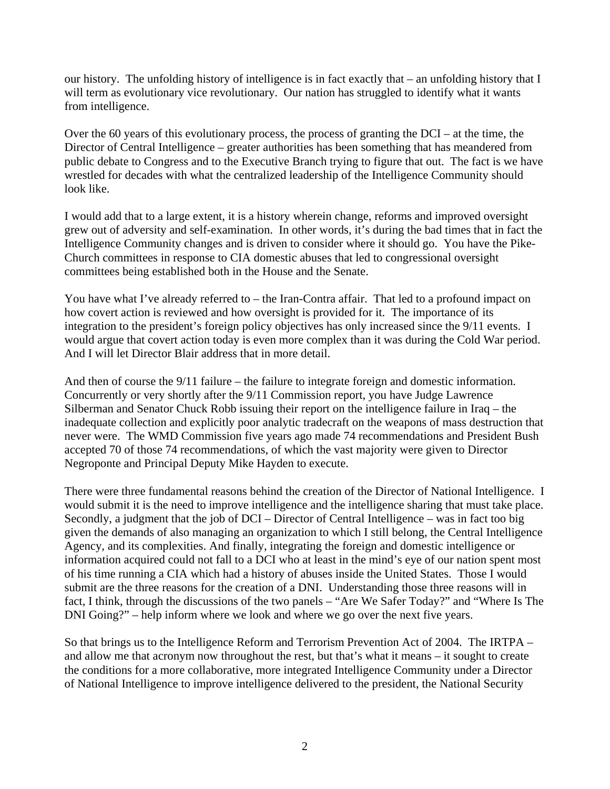our history. The unfolding history of intelligence is in fact exactly that – an unfolding history that I will term as evolutionary vice revolutionary. Our nation has struggled to identify what it wants from intelligence.

Over the 60 years of this evolutionary process, the process of granting the DCI – at the time, the Director of Central Intelligence – greater authorities has been something that has meandered from public debate to Congress and to the Executive Branch trying to figure that out. The fact is we have wrestled for decades with what the centralized leadership of the Intelligence Community should look like.

I would add that to a large extent, it is a history wherein change, reforms and improved oversight grew out of adversity and self-examination. In other words, it's during the bad times that in fact the Intelligence Community changes and is driven to consider where it should go. You have the Pike-Church committees in response to CIA domestic abuses that led to congressional oversight committees being established both in the House and the Senate.

You have what I've already referred to – the Iran-Contra affair. That led to a profound impact on how covert action is reviewed and how oversight is provided for it. The importance of its integration to the president's foreign policy objectives has only increased since the 9/11 events. I would argue that covert action today is even more complex than it was during the Cold War period. And I will let Director Blair address that in more detail.

And then of course the 9/11 failure – the failure to integrate foreign and domestic information. Concurrently or very shortly after the 9/11 Commission report, you have Judge Lawrence Silberman and Senator Chuck Robb issuing their report on the intelligence failure in Iraq – the inadequate collection and explicitly poor analytic tradecraft on the weapons of mass destruction that never were. The WMD Commission five years ago made 74 recommendations and President Bush accepted 70 of those 74 recommendations, of which the vast majority were given to Director Negroponte and Principal Deputy Mike Hayden to execute.

There were three fundamental reasons behind the creation of the Director of National Intelligence. I would submit it is the need to improve intelligence and the intelligence sharing that must take place. Secondly, a judgment that the job of DCI – Director of Central Intelligence – was in fact too big given the demands of also managing an organization to which I still belong, the Central Intelligence Agency, and its complexities. And finally, integrating the foreign and domestic intelligence or information acquired could not fall to a DCI who at least in the mind's eye of our nation spent most of his time running a CIA which had a history of abuses inside the United States. Those I would submit are the three reasons for the creation of a DNI. Understanding those three reasons will in fact, I think, through the discussions of the two panels – "Are We Safer Today?" and "Where Is The DNI Going?" – help inform where we look and where we go over the next five years.

So that brings us to the Intelligence Reform and Terrorism Prevention Act of 2004. The IRTPA – and allow me that acronym now throughout the rest, but that's what it means – it sought to create the conditions for a more collaborative, more integrated Intelligence Community under a Director of National Intelligence to improve intelligence delivered to the president, the National Security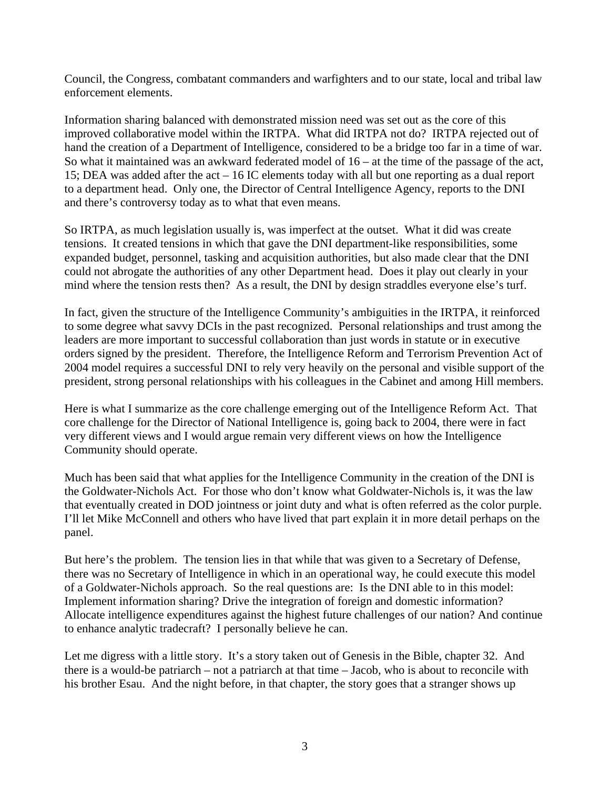Council, the Congress, combatant commanders and warfighters and to our state, local and tribal law enforcement elements.

Information sharing balanced with demonstrated mission need was set out as the core of this improved collaborative model within the IRTPA. What did IRTPA not do? IRTPA rejected out of hand the creation of a Department of Intelligence, considered to be a bridge too far in a time of war. So what it maintained was an awkward federated model of 16 – at the time of the passage of the act, 15; DEA was added after the act – 16 IC elements today with all but one reporting as a dual report to a department head. Only one, the Director of Central Intelligence Agency, reports to the DNI and there's controversy today as to what that even means.

So IRTPA, as much legislation usually is, was imperfect at the outset. What it did was create tensions. It created tensions in which that gave the DNI department-like responsibilities, some expanded budget, personnel, tasking and acquisition authorities, but also made clear that the DNI could not abrogate the authorities of any other Department head. Does it play out clearly in your mind where the tension rests then? As a result, the DNI by design straddles everyone else's turf.

In fact, given the structure of the Intelligence Community's ambiguities in the IRTPA, it reinforced to some degree what savvy DCIs in the past recognized. Personal relationships and trust among the leaders are more important to successful collaboration than just words in statute or in executive orders signed by the president. Therefore, the Intelligence Reform and Terrorism Prevention Act of 2004 model requires a successful DNI to rely very heavily on the personal and visible support of the president, strong personal relationships with his colleagues in the Cabinet and among Hill members.

Here is what I summarize as the core challenge emerging out of the Intelligence Reform Act. That core challenge for the Director of National Intelligence is, going back to 2004, there were in fact very different views and I would argue remain very different views on how the Intelligence Community should operate.

Much has been said that what applies for the Intelligence Community in the creation of the DNI is the Goldwater-Nichols Act. For those who don't know what Goldwater-Nichols is, it was the law that eventually created in DOD jointness or joint duty and what is often referred as the color purple. I'll let Mike McConnell and others who have lived that part explain it in more detail perhaps on the panel.

But here's the problem. The tension lies in that while that was given to a Secretary of Defense, there was no Secretary of Intelligence in which in an operational way, he could execute this model of a Goldwater-Nichols approach. So the real questions are: Is the DNI able to in this model: Implement information sharing? Drive the integration of foreign and domestic information? Allocate intelligence expenditures against the highest future challenges of our nation? And continue to enhance analytic tradecraft? I personally believe he can.

Let me digress with a little story. It's a story taken out of Genesis in the Bible, chapter 32. And there is a would-be patriarch – not a patriarch at that time – Jacob, who is about to reconcile with his brother Esau. And the night before, in that chapter, the story goes that a stranger shows up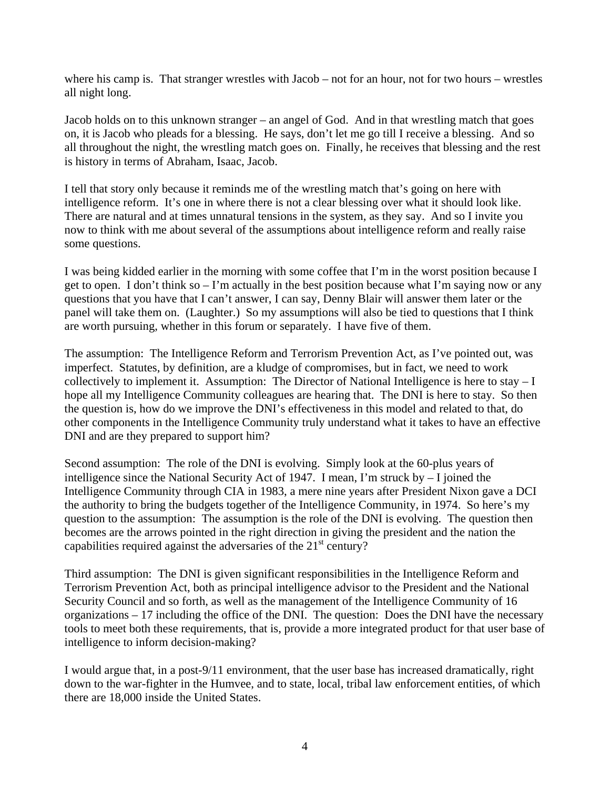where his camp is. That stranger wrestles with Jacob – not for an hour, not for two hours – wrestles all night long.

Jacob holds on to this unknown stranger – an angel of God. And in that wrestling match that goes on, it is Jacob who pleads for a blessing. He says, don't let me go till I receive a blessing. And so all throughout the night, the wrestling match goes on. Finally, he receives that blessing and the rest is history in terms of Abraham, Isaac, Jacob.

I tell that story only because it reminds me of the wrestling match that's going on here with intelligence reform. It's one in where there is not a clear blessing over what it should look like. There are natural and at times unnatural tensions in the system, as they say. And so I invite you now to think with me about several of the assumptions about intelligence reform and really raise some questions.

I was being kidded earlier in the morning with some coffee that I'm in the worst position because I get to open. I don't think so  $-1$ 'm actually in the best position because what I'm saying now or any questions that you have that I can't answer, I can say, Denny Blair will answer them later or the panel will take them on. (Laughter.) So my assumptions will also be tied to questions that I think are worth pursuing, whether in this forum or separately. I have five of them.

The assumption: The Intelligence Reform and Terrorism Prevention Act, as I've pointed out, was imperfect. Statutes, by definition, are a kludge of compromises, but in fact, we need to work collectively to implement it. Assumption: The Director of National Intelligence is here to stay – I hope all my Intelligence Community colleagues are hearing that. The DNI is here to stay. So then the question is, how do we improve the DNI's effectiveness in this model and related to that, do other components in the Intelligence Community truly understand what it takes to have an effective DNI and are they prepared to support him?

Second assumption: The role of the DNI is evolving. Simply look at the 60-plus years of intelligence since the National Security Act of 1947. I mean, I'm struck by – I joined the Intelligence Community through CIA in 1983, a mere nine years after President Nixon gave a DCI the authority to bring the budgets together of the Intelligence Community, in 1974. So here's my question to the assumption: The assumption is the role of the DNI is evolving. The question then becomes are the arrows pointed in the right direction in giving the president and the nation the capabilities required against the adversaries of the  $21<sup>st</sup>$  century?

Third assumption: The DNI is given significant responsibilities in the Intelligence Reform and Terrorism Prevention Act, both as principal intelligence advisor to the President and the National Security Council and so forth, as well as the management of the Intelligence Community of 16 organizations – 17 including the office of the DNI. The question: Does the DNI have the necessary tools to meet both these requirements, that is, provide a more integrated product for that user base of intelligence to inform decision-making?

I would argue that, in a post-9/11 environment, that the user base has increased dramatically, right down to the war-fighter in the Humvee, and to state, local, tribal law enforcement entities, of which there are 18,000 inside the United States.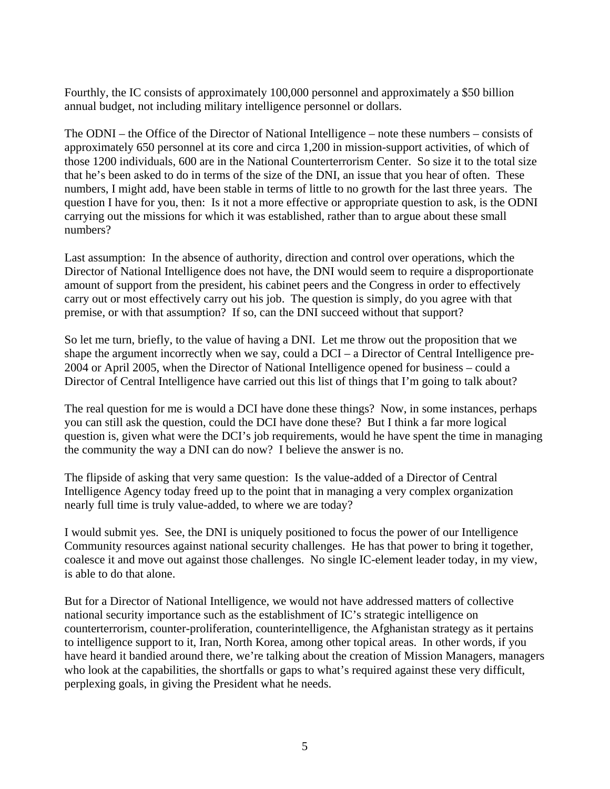Fourthly, the IC consists of approximately 100,000 personnel and approximately a \$50 billion annual budget, not including military intelligence personnel or dollars.

The ODNI – the Office of the Director of National Intelligence – note these numbers – consists of approximately 650 personnel at its core and circa 1,200 in mission-support activities, of which of those 1200 individuals, 600 are in the National Counterterrorism Center. So size it to the total size that he's been asked to do in terms of the size of the DNI, an issue that you hear of often. These numbers, I might add, have been stable in terms of little to no growth for the last three years. The question I have for you, then: Is it not a more effective or appropriate question to ask, is the ODNI carrying out the missions for which it was established, rather than to argue about these small numbers?

Last assumption: In the absence of authority, direction and control over operations, which the Director of National Intelligence does not have, the DNI would seem to require a disproportionate amount of support from the president, his cabinet peers and the Congress in order to effectively carry out or most effectively carry out his job. The question is simply, do you agree with that premise, or with that assumption? If so, can the DNI succeed without that support?

So let me turn, briefly, to the value of having a DNI. Let me throw out the proposition that we shape the argument incorrectly when we say, could a DCI – a Director of Central Intelligence pre-2004 or April 2005, when the Director of National Intelligence opened for business – could a Director of Central Intelligence have carried out this list of things that I'm going to talk about?

The real question for me is would a DCI have done these things? Now, in some instances, perhaps you can still ask the question, could the DCI have done these? But I think a far more logical question is, given what were the DCI's job requirements, would he have spent the time in managing the community the way a DNI can do now? I believe the answer is no.

The flipside of asking that very same question: Is the value-added of a Director of Central Intelligence Agency today freed up to the point that in managing a very complex organization nearly full time is truly value-added, to where we are today?

I would submit yes. See, the DNI is uniquely positioned to focus the power of our Intelligence Community resources against national security challenges. He has that power to bring it together, coalesce it and move out against those challenges. No single IC-element leader today, in my view, is able to do that alone.

But for a Director of National Intelligence, we would not have addressed matters of collective national security importance such as the establishment of IC's strategic intelligence on counterterrorism, counter-proliferation, counterintelligence, the Afghanistan strategy as it pertains to intelligence support to it, Iran, North Korea, among other topical areas. In other words, if you have heard it bandied around there, we're talking about the creation of Mission Managers, managers who look at the capabilities, the shortfalls or gaps to what's required against these very difficult, perplexing goals, in giving the President what he needs.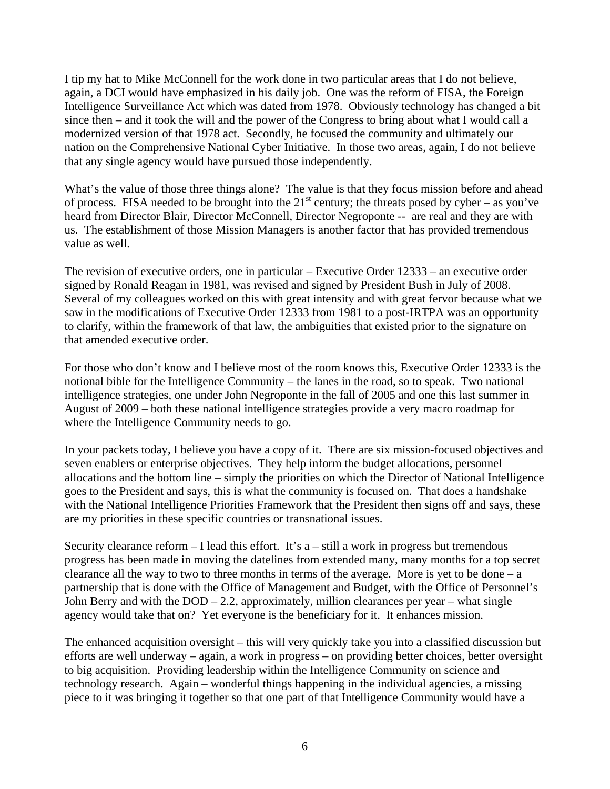I tip my hat to Mike McConnell for the work done in two particular areas that I do not believe, again, a DCI would have emphasized in his daily job. One was the reform of FISA, the Foreign Intelligence Surveillance Act which was dated from 1978. Obviously technology has changed a bit since then – and it took the will and the power of the Congress to bring about what I would call a modernized version of that 1978 act. Secondly, he focused the community and ultimately our nation on the Comprehensive National Cyber Initiative. In those two areas, again, I do not believe that any single agency would have pursued those independently.

What's the value of those three things alone? The value is that they focus mission before and ahead of process. FISA needed to be brought into the  $21<sup>st</sup>$  century; the threats posed by cyber – as you've heard from Director Blair, Director McConnell, Director Negroponte -- are real and they are with us. The establishment of those Mission Managers is another factor that has provided tremendous value as well.

The revision of executive orders, one in particular – Executive Order 12333 – an executive order signed by Ronald Reagan in 1981, was revised and signed by President Bush in July of 2008. Several of my colleagues worked on this with great intensity and with great fervor because what we saw in the modifications of Executive Order 12333 from 1981 to a post-IRTPA was an opportunity to clarify, within the framework of that law, the ambiguities that existed prior to the signature on that amended executive order.

For those who don't know and I believe most of the room knows this, Executive Order 12333 is the notional bible for the Intelligence Community – the lanes in the road, so to speak. Two national intelligence strategies, one under John Negroponte in the fall of 2005 and one this last summer in August of 2009 – both these national intelligence strategies provide a very macro roadmap for where the Intelligence Community needs to go.

In your packets today, I believe you have a copy of it. There are six mission-focused objectives and seven enablers or enterprise objectives. They help inform the budget allocations, personnel allocations and the bottom line – simply the priorities on which the Director of National Intelligence goes to the President and says, this is what the community is focused on. That does a handshake with the National Intelligence Priorities Framework that the President then signs off and says, these are my priorities in these specific countries or transnational issues.

Security clearance reform  $- I$  lead this effort. It's a  $-$  still a work in progress but tremendous progress has been made in moving the datelines from extended many, many months for a top secret clearance all the way to two to three months in terms of the average. More is yet to be done – a partnership that is done with the Office of Management and Budget, with the Office of Personnel's John Berry and with the  $DOD - 2.2$ , approximately, million clearances per year – what single agency would take that on? Yet everyone is the beneficiary for it. It enhances mission.

The enhanced acquisition oversight – this will very quickly take you into a classified discussion but efforts are well underway – again, a work in progress – on providing better choices, better oversight to big acquisition. Providing leadership within the Intelligence Community on science and technology research. Again – wonderful things happening in the individual agencies, a missing piece to it was bringing it together so that one part of that Intelligence Community would have a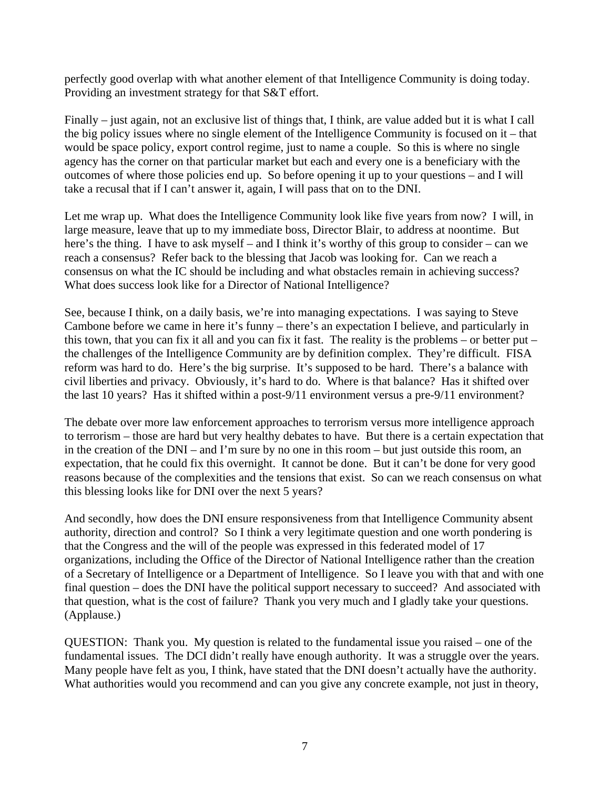perfectly good overlap with what another element of that Intelligence Community is doing today. Providing an investment strategy for that S&T effort.

Finally – just again, not an exclusive list of things that, I think, are value added but it is what I call the big policy issues where no single element of the Intelligence Community is focused on it – that would be space policy, export control regime, just to name a couple. So this is where no single agency has the corner on that particular market but each and every one is a beneficiary with the outcomes of where those policies end up. So before opening it up to your questions – and I will take a recusal that if I can't answer it, again, I will pass that on to the DNI.

Let me wrap up. What does the Intelligence Community look like five years from now? I will, in large measure, leave that up to my immediate boss, Director Blair, to address at noontime. But here's the thing. I have to ask myself – and I think it's worthy of this group to consider – can we reach a consensus? Refer back to the blessing that Jacob was looking for. Can we reach a consensus on what the IC should be including and what obstacles remain in achieving success? What does success look like for a Director of National Intelligence?

See, because I think, on a daily basis, we're into managing expectations. I was saying to Steve Cambone before we came in here it's funny – there's an expectation I believe, and particularly in this town, that you can fix it all and you can fix it fast. The reality is the problems – or better put – the challenges of the Intelligence Community are by definition complex. They're difficult. FISA reform was hard to do. Here's the big surprise. It's supposed to be hard. There's a balance with civil liberties and privacy. Obviously, it's hard to do. Where is that balance? Has it shifted over the last 10 years? Has it shifted within a post-9/11 environment versus a pre-9/11 environment?

The debate over more law enforcement approaches to terrorism versus more intelligence approach to terrorism – those are hard but very healthy debates to have. But there is a certain expectation that in the creation of the DNI – and I'm sure by no one in this room – but just outside this room, an expectation, that he could fix this overnight. It cannot be done. But it can't be done for very good reasons because of the complexities and the tensions that exist. So can we reach consensus on what this blessing looks like for DNI over the next 5 years?

And secondly, how does the DNI ensure responsiveness from that Intelligence Community absent authority, direction and control? So I think a very legitimate question and one worth pondering is that the Congress and the will of the people was expressed in this federated model of 17 organizations, including the Office of the Director of National Intelligence rather than the creation of a Secretary of Intelligence or a Department of Intelligence. So I leave you with that and with one final question – does the DNI have the political support necessary to succeed? And associated with that question, what is the cost of failure? Thank you very much and I gladly take your questions. (Applause.)

QUESTION: Thank you. My question is related to the fundamental issue you raised – one of the fundamental issues. The DCI didn't really have enough authority. It was a struggle over the years. Many people have felt as you, I think, have stated that the DNI doesn't actually have the authority. What authorities would you recommend and can you give any concrete example, not just in theory,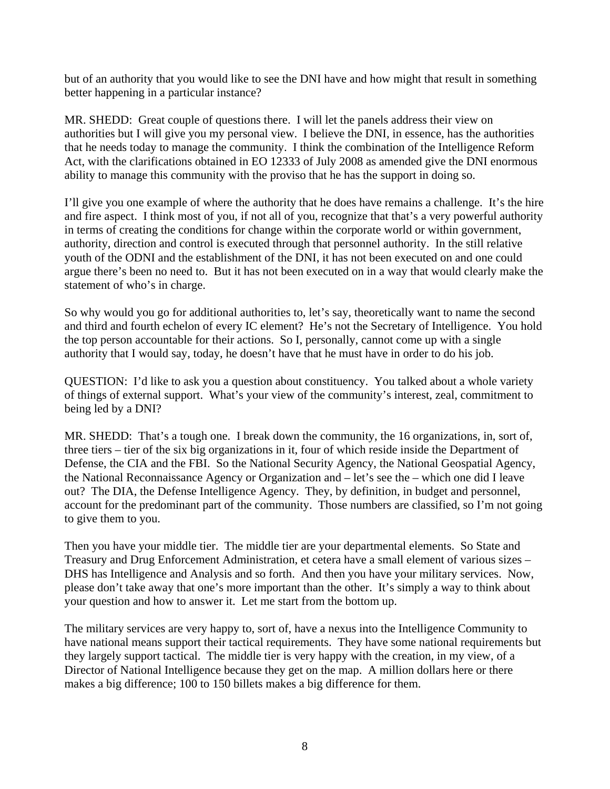but of an authority that you would like to see the DNI have and how might that result in something better happening in a particular instance?

MR. SHEDD: Great couple of questions there. I will let the panels address their view on authorities but I will give you my personal view. I believe the DNI, in essence, has the authorities that he needs today to manage the community. I think the combination of the Intelligence Reform Act, with the clarifications obtained in EO 12333 of July 2008 as amended give the DNI enormous ability to manage this community with the proviso that he has the support in doing so.

I'll give you one example of where the authority that he does have remains a challenge. It's the hire and fire aspect. I think most of you, if not all of you, recognize that that's a very powerful authority in terms of creating the conditions for change within the corporate world or within government, authority, direction and control is executed through that personnel authority. In the still relative youth of the ODNI and the establishment of the DNI, it has not been executed on and one could argue there's been no need to. But it has not been executed on in a way that would clearly make the statement of who's in charge.

So why would you go for additional authorities to, let's say, theoretically want to name the second and third and fourth echelon of every IC element? He's not the Secretary of Intelligence. You hold the top person accountable for their actions. So I, personally, cannot come up with a single authority that I would say, today, he doesn't have that he must have in order to do his job.

QUESTION: I'd like to ask you a question about constituency. You talked about a whole variety of things of external support. What's your view of the community's interest, zeal, commitment to being led by a DNI?

MR. SHEDD: That's a tough one. I break down the community, the 16 organizations, in, sort of, three tiers – tier of the six big organizations in it, four of which reside inside the Department of Defense, the CIA and the FBI. So the National Security Agency, the National Geospatial Agency, the National Reconnaissance Agency or Organization and – let's see the – which one did I leave out? The DIA, the Defense Intelligence Agency. They, by definition, in budget and personnel, account for the predominant part of the community. Those numbers are classified, so I'm not going to give them to you.

Then you have your middle tier. The middle tier are your departmental elements. So State and Treasury and Drug Enforcement Administration, et cetera have a small element of various sizes – DHS has Intelligence and Analysis and so forth. And then you have your military services. Now, please don't take away that one's more important than the other. It's simply a way to think about your question and how to answer it. Let me start from the bottom up.

The military services are very happy to, sort of, have a nexus into the Intelligence Community to have national means support their tactical requirements. They have some national requirements but they largely support tactical. The middle tier is very happy with the creation, in my view, of a Director of National Intelligence because they get on the map. A million dollars here or there makes a big difference; 100 to 150 billets makes a big difference for them.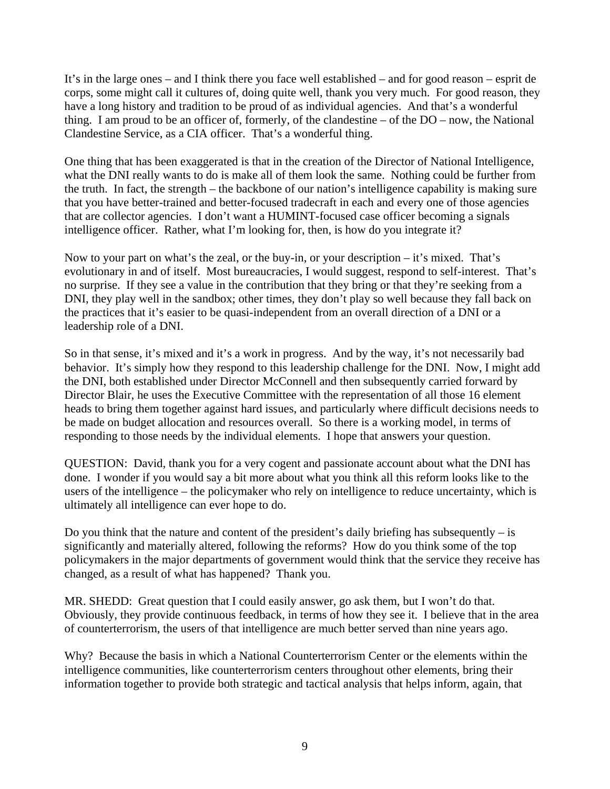It's in the large ones – and I think there you face well established – and for good reason – esprit de corps, some might call it cultures of, doing quite well, thank you very much. For good reason, they have a long history and tradition to be proud of as individual agencies. And that's a wonderful thing. I am proud to be an officer of, formerly, of the clandestine – of the DO – now, the National Clandestine Service, as a CIA officer. That's a wonderful thing.

One thing that has been exaggerated is that in the creation of the Director of National Intelligence, what the DNI really wants to do is make all of them look the same. Nothing could be further from the truth. In fact, the strength – the backbone of our nation's intelligence capability is making sure that you have better-trained and better-focused tradecraft in each and every one of those agencies that are collector agencies. I don't want a HUMINT-focused case officer becoming a signals intelligence officer. Rather, what I'm looking for, then, is how do you integrate it?

Now to your part on what's the zeal, or the buy-in, or your description – it's mixed. That's evolutionary in and of itself. Most bureaucracies, I would suggest, respond to self-interest. That's no surprise. If they see a value in the contribution that they bring or that they're seeking from a DNI, they play well in the sandbox; other times, they don't play so well because they fall back on the practices that it's easier to be quasi-independent from an overall direction of a DNI or a leadership role of a DNI.

So in that sense, it's mixed and it's a work in progress. And by the way, it's not necessarily bad behavior. It's simply how they respond to this leadership challenge for the DNI. Now, I might add the DNI, both established under Director McConnell and then subsequently carried forward by Director Blair, he uses the Executive Committee with the representation of all those 16 element heads to bring them together against hard issues, and particularly where difficult decisions needs to be made on budget allocation and resources overall. So there is a working model, in terms of responding to those needs by the individual elements. I hope that answers your question.

QUESTION: David, thank you for a very cogent and passionate account about what the DNI has done. I wonder if you would say a bit more about what you think all this reform looks like to the users of the intelligence – the policymaker who rely on intelligence to reduce uncertainty, which is ultimately all intelligence can ever hope to do.

Do you think that the nature and content of the president's daily briefing has subsequently  $-$  is significantly and materially altered, following the reforms? How do you think some of the top policymakers in the major departments of government would think that the service they receive has changed, as a result of what has happened? Thank you.

MR. SHEDD: Great question that I could easily answer, go ask them, but I won't do that. Obviously, they provide continuous feedback, in terms of how they see it. I believe that in the area of counterterrorism, the users of that intelligence are much better served than nine years ago.

Why? Because the basis in which a National Counterterrorism Center or the elements within the intelligence communities, like counterterrorism centers throughout other elements, bring their information together to provide both strategic and tactical analysis that helps inform, again, that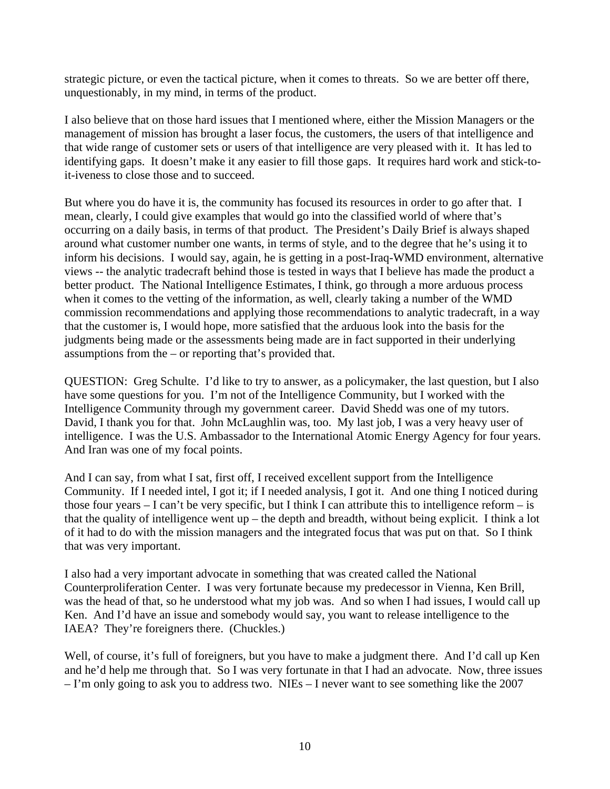strategic picture, or even the tactical picture, when it comes to threats. So we are better off there, unquestionably, in my mind, in terms of the product.

I also believe that on those hard issues that I mentioned where, either the Mission Managers or the management of mission has brought a laser focus, the customers, the users of that intelligence and that wide range of customer sets or users of that intelligence are very pleased with it. It has led to identifying gaps. It doesn't make it any easier to fill those gaps. It requires hard work and stick-toit-iveness to close those and to succeed.

But where you do have it is, the community has focused its resources in order to go after that. I mean, clearly, I could give examples that would go into the classified world of where that's occurring on a daily basis, in terms of that product. The President's Daily Brief is always shaped around what customer number one wants, in terms of style, and to the degree that he's using it to inform his decisions. I would say, again, he is getting in a post-Iraq-WMD environment, alternative views -- the analytic tradecraft behind those is tested in ways that I believe has made the product a better product. The National Intelligence Estimates, I think, go through a more arduous process when it comes to the vetting of the information, as well, clearly taking a number of the WMD commission recommendations and applying those recommendations to analytic tradecraft, in a way that the customer is, I would hope, more satisfied that the arduous look into the basis for the judgments being made or the assessments being made are in fact supported in their underlying assumptions from the – or reporting that's provided that.

QUESTION: Greg Schulte. I'd like to try to answer, as a policymaker, the last question, but I also have some questions for you. I'm not of the Intelligence Community, but I worked with the Intelligence Community through my government career. David Shedd was one of my tutors. David, I thank you for that. John McLaughlin was, too. My last job, I was a very heavy user of intelligence. I was the U.S. Ambassador to the International Atomic Energy Agency for four years. And Iran was one of my focal points.

And I can say, from what I sat, first off, I received excellent support from the Intelligence Community. If I needed intel, I got it; if I needed analysis, I got it. And one thing I noticed during those four years – I can't be very specific, but I think I can attribute this to intelligence reform – is that the quality of intelligence went up – the depth and breadth, without being explicit. I think a lot of it had to do with the mission managers and the integrated focus that was put on that. So I think that was very important.

I also had a very important advocate in something that was created called the National Counterproliferation Center. I was very fortunate because my predecessor in Vienna, Ken Brill, was the head of that, so he understood what my job was. And so when I had issues, I would call up Ken. And I'd have an issue and somebody would say, you want to release intelligence to the IAEA? They're foreigners there. (Chuckles.)

Well, of course, it's full of foreigners, but you have to make a judgment there. And I'd call up Ken and he'd help me through that. So I was very fortunate in that I had an advocate. Now, three issues – I'm only going to ask you to address two. NIEs – I never want to see something like the 2007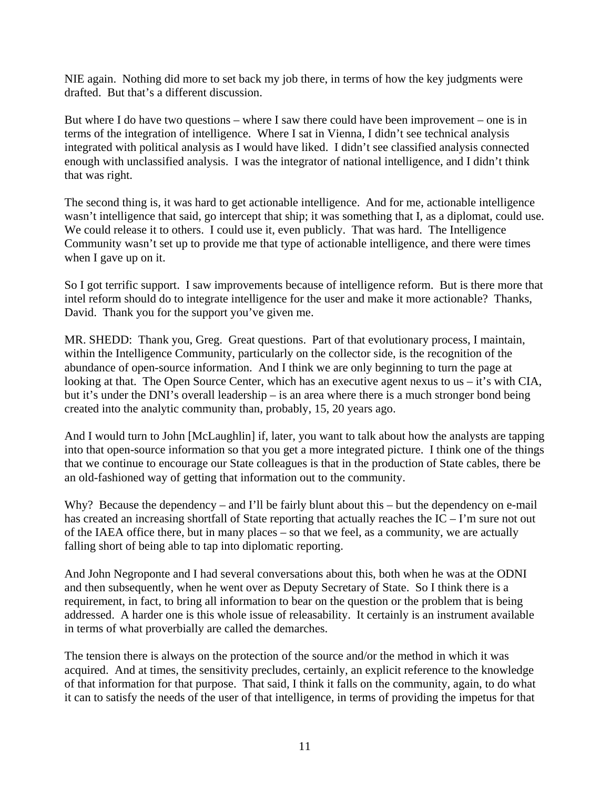NIE again. Nothing did more to set back my job there, in terms of how the key judgments were drafted. But that's a different discussion.

But where I do have two questions – where I saw there could have been improvement – one is in terms of the integration of intelligence. Where I sat in Vienna, I didn't see technical analysis integrated with political analysis as I would have liked. I didn't see classified analysis connected enough with unclassified analysis. I was the integrator of national intelligence, and I didn't think that was right.

The second thing is, it was hard to get actionable intelligence. And for me, actionable intelligence wasn't intelligence that said, go intercept that ship; it was something that I, as a diplomat, could use. We could release it to others. I could use it, even publicly. That was hard. The Intelligence Community wasn't set up to provide me that type of actionable intelligence, and there were times when I gave up on it.

So I got terrific support. I saw improvements because of intelligence reform. But is there more that intel reform should do to integrate intelligence for the user and make it more actionable? Thanks, David. Thank you for the support you've given me.

MR. SHEDD: Thank you, Greg. Great questions. Part of that evolutionary process, I maintain, within the Intelligence Community, particularly on the collector side, is the recognition of the abundance of open-source information. And I think we are only beginning to turn the page at looking at that. The Open Source Center, which has an executive agent nexus to us – it's with CIA, but it's under the DNI's overall leadership – is an area where there is a much stronger bond being created into the analytic community than, probably, 15, 20 years ago.

And I would turn to John [McLaughlin] if, later, you want to talk about how the analysts are tapping into that open-source information so that you get a more integrated picture. I think one of the things that we continue to encourage our State colleagues is that in the production of State cables, there be an old-fashioned way of getting that information out to the community.

Why? Because the dependency – and I'll be fairly blunt about this – but the dependency on e-mail has created an increasing shortfall of State reporting that actually reaches the IC – I'm sure not out of the IAEA office there, but in many places – so that we feel, as a community, we are actually falling short of being able to tap into diplomatic reporting.

And John Negroponte and I had several conversations about this, both when he was at the ODNI and then subsequently, when he went over as Deputy Secretary of State. So I think there is a requirement, in fact, to bring all information to bear on the question or the problem that is being addressed. A harder one is this whole issue of releasability. It certainly is an instrument available in terms of what proverbially are called the demarches.

The tension there is always on the protection of the source and/or the method in which it was acquired. And at times, the sensitivity precludes, certainly, an explicit reference to the knowledge of that information for that purpose. That said, I think it falls on the community, again, to do what it can to satisfy the needs of the user of that intelligence, in terms of providing the impetus for that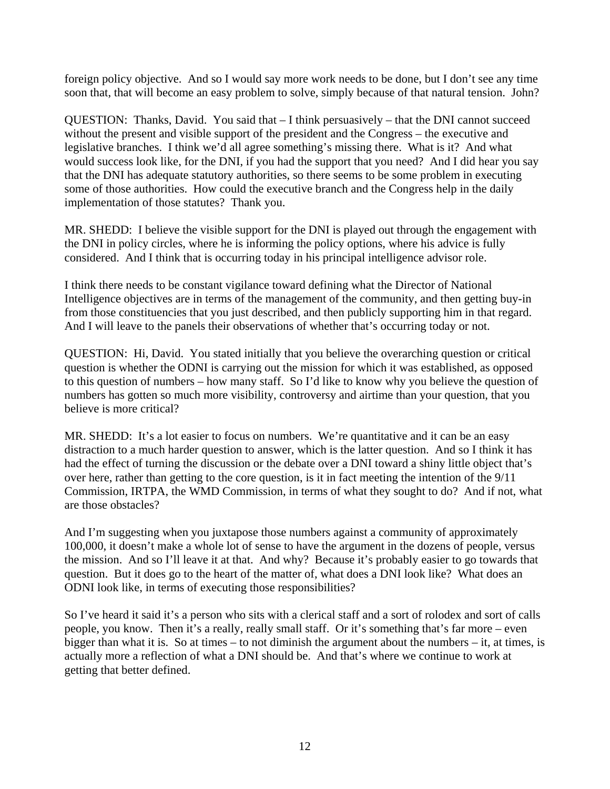foreign policy objective. And so I would say more work needs to be done, but I don't see any time soon that, that will become an easy problem to solve, simply because of that natural tension. John?

QUESTION: Thanks, David. You said that – I think persuasively – that the DNI cannot succeed without the present and visible support of the president and the Congress – the executive and legislative branches. I think we'd all agree something's missing there. What is it? And what would success look like, for the DNI, if you had the support that you need? And I did hear you say that the DNI has adequate statutory authorities, so there seems to be some problem in executing some of those authorities. How could the executive branch and the Congress help in the daily implementation of those statutes? Thank you.

MR. SHEDD: I believe the visible support for the DNI is played out through the engagement with the DNI in policy circles, where he is informing the policy options, where his advice is fully considered. And I think that is occurring today in his principal intelligence advisor role.

I think there needs to be constant vigilance toward defining what the Director of National Intelligence objectives are in terms of the management of the community, and then getting buy-in from those constituencies that you just described, and then publicly supporting him in that regard. And I will leave to the panels their observations of whether that's occurring today or not.

QUESTION: Hi, David. You stated initially that you believe the overarching question or critical question is whether the ODNI is carrying out the mission for which it was established, as opposed to this question of numbers – how many staff. So I'd like to know why you believe the question of numbers has gotten so much more visibility, controversy and airtime than your question, that you believe is more critical?

MR. SHEDD: It's a lot easier to focus on numbers. We're quantitative and it can be an easy distraction to a much harder question to answer, which is the latter question. And so I think it has had the effect of turning the discussion or the debate over a DNI toward a shiny little object that's over here, rather than getting to the core question, is it in fact meeting the intention of the 9/11 Commission, IRTPA, the WMD Commission, in terms of what they sought to do? And if not, what are those obstacles?

And I'm suggesting when you juxtapose those numbers against a community of approximately 100,000, it doesn't make a whole lot of sense to have the argument in the dozens of people, versus the mission. And so I'll leave it at that. And why? Because it's probably easier to go towards that question. But it does go to the heart of the matter of, what does a DNI look like? What does an ODNI look like, in terms of executing those responsibilities?

So I've heard it said it's a person who sits with a clerical staff and a sort of rolodex and sort of calls people, you know. Then it's a really, really small staff. Or it's something that's far more – even bigger than what it is. So at times – to not diminish the argument about the numbers – it, at times, is actually more a reflection of what a DNI should be. And that's where we continue to work at getting that better defined.